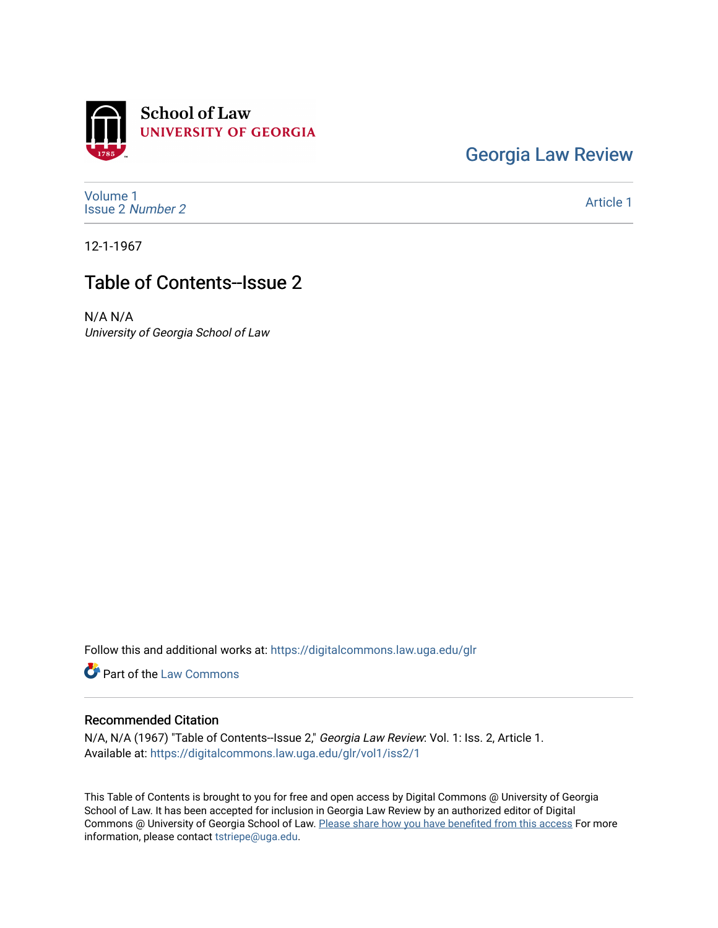

[Georgia Law Review](https://digitalcommons.law.uga.edu/glr) 

[Volume 1](https://digitalcommons.law.uga.edu/glr/vol1) [Issue 2](https://digitalcommons.law.uga.edu/glr/vol1/iss2) Number 2

[Article 1](https://digitalcommons.law.uga.edu/glr/vol1/iss2/1) 

12-1-1967

## Table of Contents--Issue 2

N/A N/A University of Georgia School of Law

Follow this and additional works at: [https://digitalcommons.law.uga.edu/glr](https://digitalcommons.law.uga.edu/glr?utm_source=digitalcommons.law.uga.edu%2Fglr%2Fvol1%2Fiss2%2F1&utm_medium=PDF&utm_campaign=PDFCoverPages) 

**Part of the [Law Commons](http://network.bepress.com/hgg/discipline/578?utm_source=digitalcommons.law.uga.edu%2Fglr%2Fvol1%2Fiss2%2F1&utm_medium=PDF&utm_campaign=PDFCoverPages)** 

## Recommended Citation

N/A, N/A (1967) "Table of Contents--Issue 2," Georgia Law Review: Vol. 1: Iss. 2, Article 1. Available at: [https://digitalcommons.law.uga.edu/glr/vol1/iss2/1](https://digitalcommons.law.uga.edu/glr/vol1/iss2/1?utm_source=digitalcommons.law.uga.edu%2Fglr%2Fvol1%2Fiss2%2F1&utm_medium=PDF&utm_campaign=PDFCoverPages) 

This Table of Contents is brought to you for free and open access by Digital Commons @ University of Georgia School of Law. It has been accepted for inclusion in Georgia Law Review by an authorized editor of Digital Commons @ University of Georgia School of Law. [Please share how you have benefited from this access](https://docs.google.com/forms/d/e/1FAIpQLSc_7JxpD4JNSJyX6RwtrWT9ZyH0ZZhUyG3XrFAJV-kf1AGk6g/viewform) For more information, please contact [tstriepe@uga.edu](mailto:tstriepe@uga.edu).